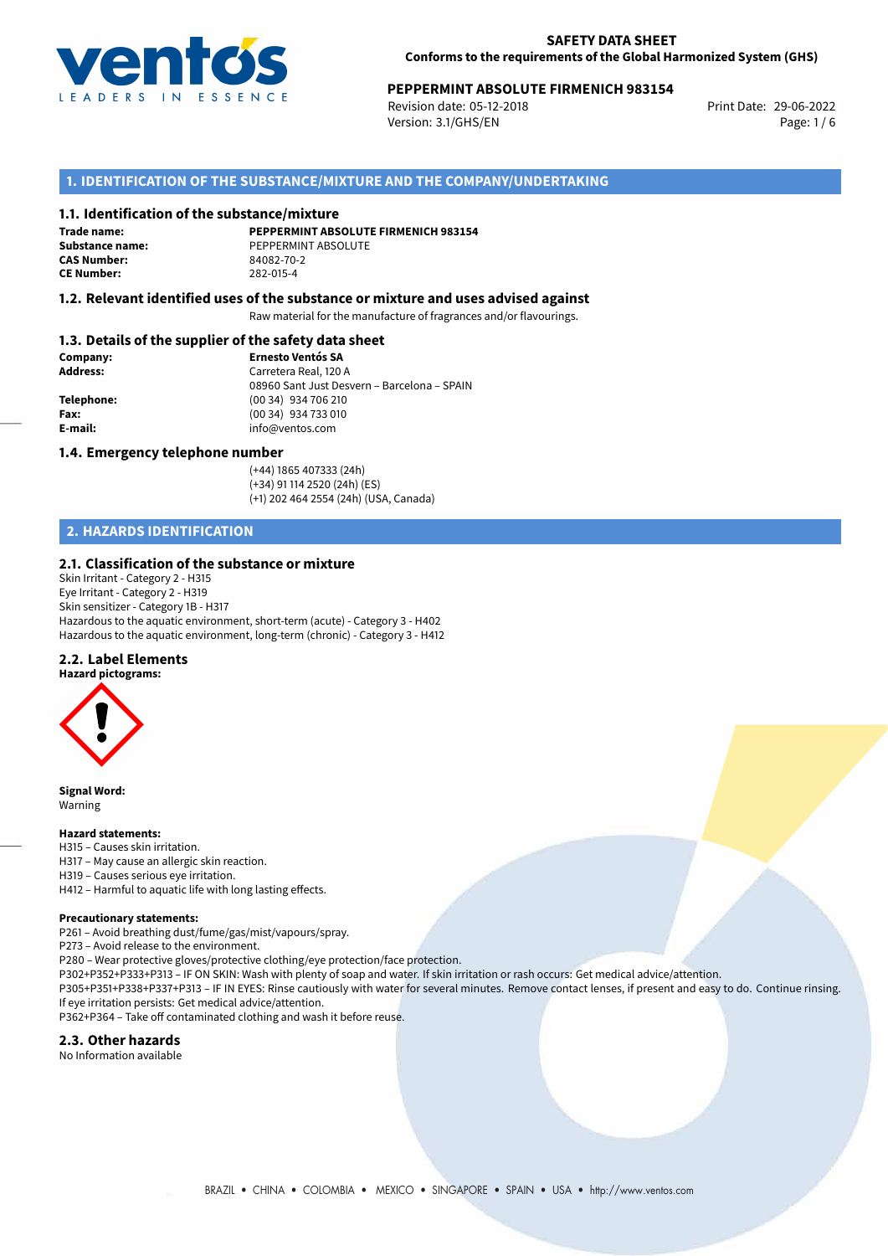

# **PEPPERMINT ABSOLUTE FIRMENICH 983154**<br>Revision date: 05-12-2018<br>Print Date: 29-06-2022

Revision date: 05-12-2018 Version: 3.1/GHS/EN Page: 1 / 6

## **1. IDENTIFICATION OF THE SUBSTANCE/MIXTURE AND THE COMPANY/UNDERTAKING**

#### **1.1. Identification of the substance/mixture**

**Trade name: CAS Number: CE Number:** 282-015-4

**PEPPERMINT ABSOLUTE FIRMENICH 983154 Substance name:** PEPPERMINT ABSOLUTE<br> **CAS Number:** 84082-70-2

#### **1.2. Relevant identified uses of the substance or mixture and uses advised against**

Raw material for the manufacture of fragrances and/or flavourings.

### **1.3. Details of the supplier of the safety data sheet**

| Company:        | <b>Ernesto Ventós SA</b>                    |
|-----------------|---------------------------------------------|
| <b>Address:</b> | Carretera Real, 120 A                       |
|                 | 08960 Sant Just Desvern - Barcelona - SPAIN |
| Telephone:      | (00 34) 934 706 210                         |
| Fax:            | (00 34) 934 733 010                         |
| E-mail:         | info@ventos.com                             |
|                 |                                             |

#### **1.4. Emergency telephone number**

(+44) 1865 407333 (24h) (+34) 91 114 2520 (24h) (ES) (+1) 202 464 2554 (24h) (USA, Canada)

# **2. HAZARDS IDENTIFICATION**

#### **2.1. Classification of the substance or mixture**

Skin Irritant - Category 2 - H315 Eye Irritant - Category 2 - H319 Skin sensitizer - Category 1B - H317 Hazardous to the aquatic environment, short-term (acute) - Category 3 - H402 Hazardous to the aquatic environment, long-term (chronic) - Category 3 - H412

#### **2.2. Label Elements**



**Signal Word:** Warning

#### **Hazard statements:**

- H315 Causes skin irritation.
- H317 May cause an allergic skin reaction.
- H319 Causes serious eye irritation.
- H412 Harmful to aquatic life with long lasting effects.

#### **Precautionary statements:**

P261 – Avoid breathing dust/fume/gas/mist/vapours/spray.

P273 – Avoid release to the environment.

P280 – Wear protective gloves/protective clothing/eye protection/face protection.

P302+P352+P333+P313 – IF ON SKIN: Wash with plenty of soap and water. If skin irritation or rash occurs: Get medical advice/attention.

P305+P351+P338+P337+P313 – IF IN EYES: Rinse cautiously with water for several minutes. Remove contact lenses, if present and easy to do. Continue rinsing. If eye irritation persists: Get medical advice/attention.

P362+P364 – Take off contaminated clothing and wash it before reuse.

#### **2.3. Other hazards**

No Information available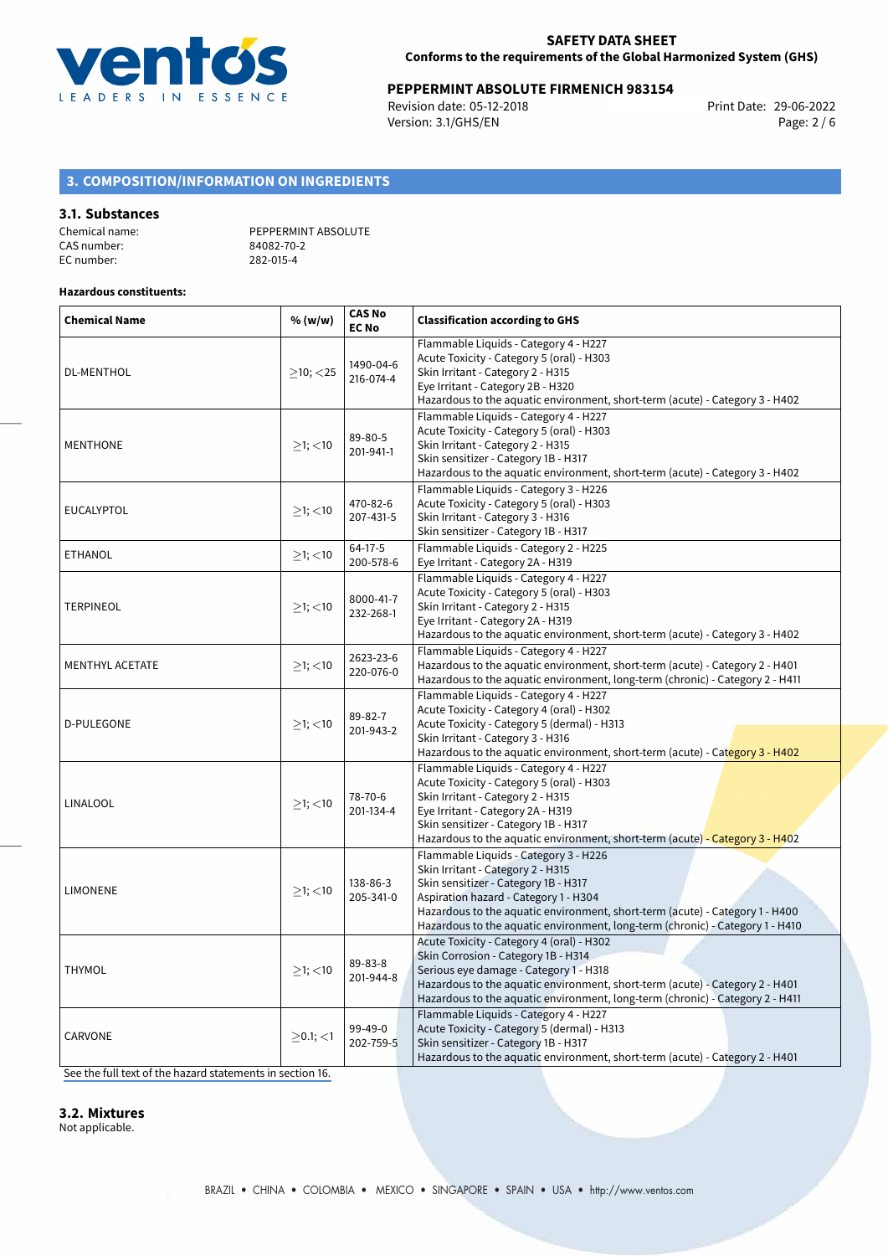

# **PEPPERMINT ABSOLUTE FIRMENICH 983154**<br>Revision date: 05-12-2018 **Print Date: 29-06-2022**

Revision date: 05-12-2018 Version: 3.1/GHS/EN Page: 2 / 6

# **3. COMPOSITION/INFORMATION ON INGREDIENTS**

#### **3.1. Substances**

| Chemical name: | PEPPERMINT ABSOLUTE |
|----------------|---------------------|
| CAS number:    | 84082-70-2          |
| EC number:     | 282-015-4           |

#### **Hazardous constituents:**

| <b>Chemical Name</b>   | % (w/w)        | <b>CAS No</b><br><b>EC No</b> | <b>Classification according to GHS</b>                                                                                                                                                                                                                                                                                       |  |
|------------------------|----------------|-------------------------------|------------------------------------------------------------------------------------------------------------------------------------------------------------------------------------------------------------------------------------------------------------------------------------------------------------------------------|--|
| <b>DL-MENTHOL</b>      | $>10$ ; $<$ 25 | 1490-04-6<br>216-074-4        | Flammable Liquids - Category 4 - H227<br>Acute Toxicity - Category 5 (oral) - H303<br>Skin Irritant - Category 2 - H315<br>Eye Irritant - Category 2B - H320<br>Hazardous to the aquatic environment, short-term (acute) - Category 3 - H402                                                                                 |  |
| <b>MENTHONE</b>        | $\geq$ 1; <10  | 89-80-5<br>201-941-1          | Flammable Liquids - Category 4 - H227<br>Acute Toxicity - Category 5 (oral) - H303<br>Skin Irritant - Category 2 - H315<br>Skin sensitizer - Category 1B - H317<br>Hazardous to the aquatic environment, short-term (acute) - Category 3 - H402                                                                              |  |
| <b>EUCALYPTOL</b>      | $>1$ ; $<$ 10  | 470-82-6<br>207-431-5         | Flammable Liquids - Category 3 - H226<br>Acute Toxicity - Category 5 (oral) - H303<br>Skin Irritant - Category 3 - H316<br>Skin sensitizer - Category 1B - H317                                                                                                                                                              |  |
| <b>ETHANOL</b>         | $>1$ ; $<$ 10  | $64-17-5$<br>200-578-6        | Flammable Liquids - Category 2 - H225<br>Eye Irritant - Category 2A - H319                                                                                                                                                                                                                                                   |  |
| <b>TERPINEOL</b>       | $≥1;$ < 10     | 8000-41-7<br>232-268-1        | Flammable Liquids - Category 4 - H227<br>Acute Toxicity - Category 5 (oral) - H303<br>Skin Irritant - Category 2 - H315<br>Eye Irritant - Category 2A - H319<br>Hazardous to the aquatic environment, short-term (acute) - Category 3 - H402                                                                                 |  |
| <b>MENTHYL ACETATE</b> | $>1$ ; <10     | 2623-23-6<br>220-076-0        | Flammable Liquids - Category 4 - H227<br>Hazardous to the aquatic environment, short-term (acute) - Category 2 - H401<br>Hazardous to the aquatic environment, long-term (chronic) - Category 2 - H411                                                                                                                       |  |
| <b>D-PULEGONE</b>      | $>1$ ; <10     | 89-82-7<br>201-943-2          | Flammable Liquids - Category 4 - H227<br>Acute Toxicity - Category 4 (oral) - H302<br>Acute Toxicity - Category 5 (dermal) - H313<br>Skin Irritant - Category 3 - H316<br>Hazardous to the aquatic environment, short-term (acute) - Category 3 - H402                                                                       |  |
| LINALOOL               | $>1$ ; $<$ 10  | 78-70-6<br>201-134-4          | Flammable Liquids - Category 4 - H227<br>Acute Toxicity - Category 5 (oral) - H303<br>Skin Irritant - Category 2 - H315<br>Eye Irritant - Category 2A - H319<br>Skin sensitizer - Category 1B - H317<br>Hazardous to the aquatic environment, short-term (acute) - Category 3 - H402                                         |  |
| <b>LIMONENE</b>        | $>1$ ; $<$ 10  | 138-86-3<br>205-341-0         | Flammable Liquids - Category 3 - H226<br>Skin Irritant - Category 2 - H315<br>Skin sensitizer - Category 1B - H317<br>Aspiration hazard - Category 1 - H304<br>Hazardous to the aquatic environment, short-term (acute) - Category 1 - H400<br>Hazardous to the aquatic environment, long-term (chronic) - Category 1 - H410 |  |
| <b>THYMOL</b>          | $>1$ ; $<$ 10  | 89-83-8<br>201-944-8          | Acute Toxicity - Category 4 (oral) - H302<br>Skin Corrosion - Category 1B - H314<br>Serious eye damage - Category 1 - H318<br>Hazardous to the aquatic environment, short-term (acute) - Category 2 - H401<br>Hazardous to the aquatic environment, long-term (chronic) - Category 2 - H411                                  |  |
| CARVONE                | $>0.1$ ; <1    | 99-49-0<br>202-759-5          | Flammable Liquids - Category 4 - H227<br>Acute Toxicity - Category 5 (dermal) - H313<br>Skin sensitizer - Category 1B - H317<br>Hazardous to the aquatic environment, short-term (acute) - Category 2 - H401                                                                                                                 |  |

[See the full text of the hazard statements in section 16.](#page-4-0)

#### **3.2. Mixtures**

Not applicable.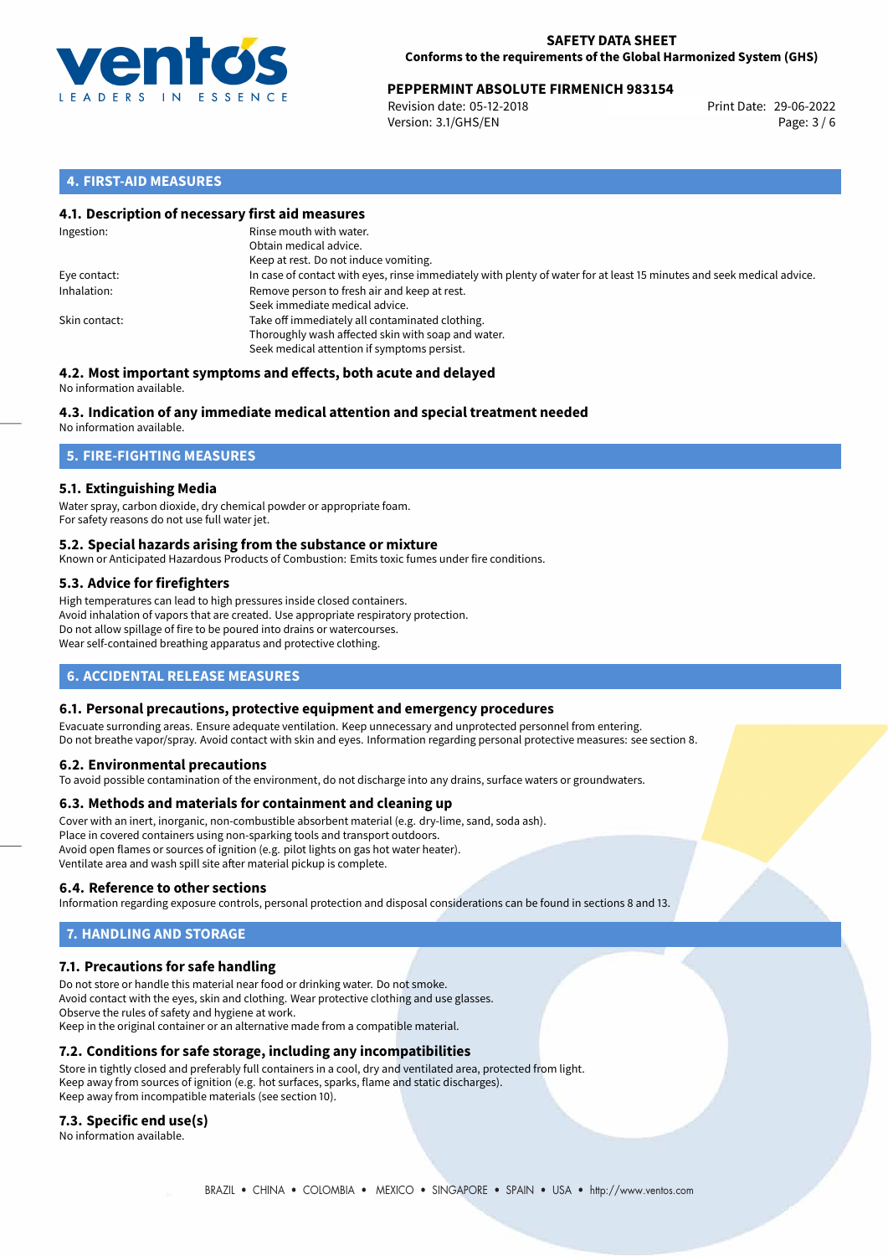

# **PEPPERMINT ABSOLUTE FIRMENICH 983154**<br>Revision date: 05-12-2018<br>Print Date: 29-06-2022

Revision date: 05-12-2018 Version: 3.1/GHS/EN Page: 3 / 6

## **4. FIRST-AID MEASURES**

### **4.1. Description of necessary first aid measures**

| Ingestion:    | Rinse mouth with water.<br>Obtain medical advice.<br>Keep at rest. Do not induce vomiting.                                                           |
|---------------|------------------------------------------------------------------------------------------------------------------------------------------------------|
| Eye contact:  | In case of contact with eyes, rinse immediately with plenty of water for at least 15 minutes and seek medical advice.                                |
| Inhalation:   | Remove person to fresh air and keep at rest.<br>Seek immediate medical advice.                                                                       |
| Skin contact: | Take off immediately all contaminated clothing.<br>Thoroughly wash affected skin with soap and water.<br>Seek medical attention if symptoms persist. |

#### **4.2. Most important symptoms and effects, both acute and delayed** No information available.

# **4.3. Indication of any immediate medical attention and special treatment needed**

No information available.

# **5. FIRE-FIGHTING MEASURES**

## **5.1. Extinguishing Media**

Water spray, carbon dioxide, dry chemical powder or appropriate foam. For safety reasons do not use full water jet.

### **5.2. Special hazards arising from the substance or mixture**

Known or Anticipated Hazardous Products of Combustion: Emits toxic fumes under fire conditions.

### **5.3. Advice for firefighters**

High temperatures can lead to high pressures inside closed containers. Avoid inhalation of vapors that are created. Use appropriate respiratory protection. Do not allow spillage of fire to be poured into drains or watercourses. Wear self-contained breathing apparatus and protective clothing.

# **6. ACCIDENTAL RELEASE MEASURES**

### **6.1. Personal precautions, protective equipment and emergency procedures**

Evacuate surronding areas. Ensure adequate ventilation. Keep unnecessary and unprotected personnel from entering. Do not breathe vapor/spray. Avoid contact with skin and eyes. Information regarding personal protective measures: see section 8.

### **6.2. Environmental precautions**

To avoid possible contamination of the environment, do not discharge into any drains, surface waters or groundwaters.

### **6.3. Methods and materials for containment and cleaning up**

Cover with an inert, inorganic, non-combustible absorbent material (e.g. dry-lime, sand, soda ash). Place in covered containers using non-sparking tools and transport outdoors. Avoid open flames or sources of ignition (e.g. pilot lights on gas hot water heater). Ventilate area and wash spill site after material pickup is complete.

### **6.4. Reference to other sections**

Information regarding exposure controls, personal protection and disposal considerations can be found in sections 8 and 13.

# **7. HANDLING AND STORAGE**

### **7.1. Precautions for safe handling**

Do not store or handle this material near food or drinking water. Do not smoke. Avoid contact with the eyes, skin and clothing. Wear protective clothing and use glasses. Observe the rules of safety and hygiene at work. Keep in the original container or an alternative made from a compatible material.

## **7.2. Conditions for safe storage, including any incompatibilities**

Store in tightly closed and preferably full containers in a cool, dry and ventilated area, protected from light. Keep away from sources of ignition (e.g. hot surfaces, sparks, flame and static discharges). Keep away from incompatible materials (see section 10).

### **7.3. Specific end use(s)**

No information available.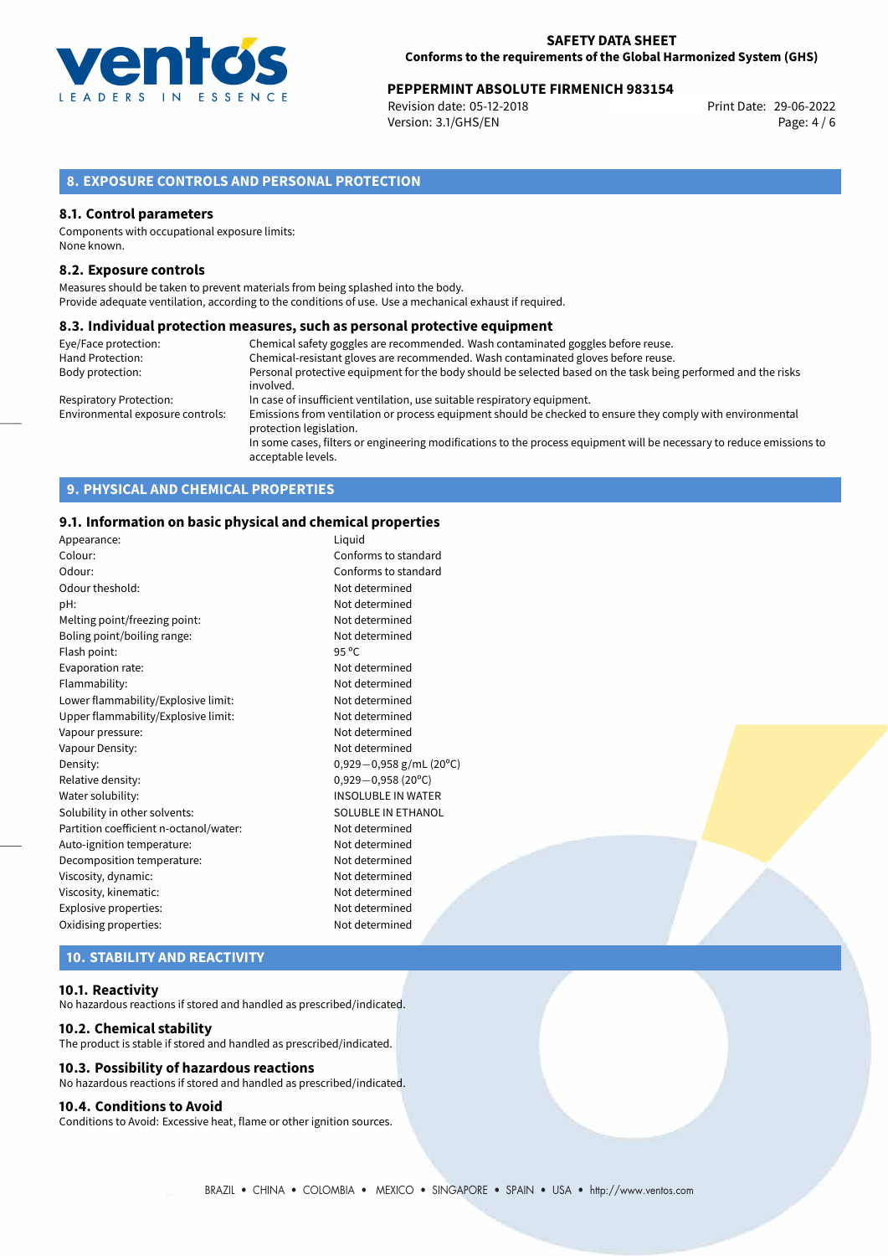

# **PEPPERMINT ABSOLUTE FIRMENICH 983154**<br>Revision date: 05-12-2018<br>Print Date: 29-06-2022

Revision date: 05-12-2018 Version: 3.1/GHS/EN Page: 4 / 6

# **8. EXPOSURE CONTROLS AND PERSONAL PROTECTION**

#### **8.1. Control parameters**

Components with occupational exposure limits: None known.

#### **8.2. Exposure controls**

Measures should be taken to prevent materials from being splashed into the body. Provide adequate ventilation, according to the conditions of use. Use a mechanical exhaust if required.

#### **8.3. Individual protection measures, such as personal protective equipment**

| Eye/Face protection:             | Chemical safety goggles are recommended. Wash contaminated goggles before reuse.                                                            |
|----------------------------------|---------------------------------------------------------------------------------------------------------------------------------------------|
| Hand Protection:                 | Chemical-resistant gloves are recommended. Wash contaminated gloves before reuse.                                                           |
| Body protection:                 | Personal protective equipment for the body should be selected based on the task being performed and the risks                               |
|                                  | involved.                                                                                                                                   |
| Respiratory Protection:          | In case of insufficient ventilation, use suitable respiratory equipment.                                                                    |
| Environmental exposure controls: | Emissions from ventilation or process equipment should be checked to ensure they comply with environmental<br>protection legislation.       |
|                                  | In some cases, filters or engineering modifications to the process equipment will be necessary to reduce emissions to<br>acceptable levels. |

# **9. PHYSICAL AND CHEMICAL PROPERTIES**

#### **9.1. Information on basic physical and chemical properties**

| Appearance:                            | Liquid                       |
|----------------------------------------|------------------------------|
| Colour:                                | Conforms to standard         |
| Odour:                                 | Conforms to standard         |
| Odour theshold:                        | Not determined               |
| pH:                                    | Not determined               |
| Melting point/freezing point:          | Not determined               |
| Boling point/boiling range:            | Not determined               |
| Flash point:                           | $95^{\circ}$ C               |
| Evaporation rate:                      | Not determined               |
| Flammability:                          | Not determined               |
| Lower flammability/Explosive limit:    | Not determined               |
| Upper flammability/Explosive limit:    | Not determined               |
| Vapour pressure:                       | Not determined               |
| Vapour Density:                        | Not determined               |
| Density:                               | $0,929-0,958$ g/mL (20°C)    |
| Relative density:                      | $0,929 - 0,958(20^{\circ}C)$ |
| Water solubility:                      | <b>INSOLUBLE IN WATER</b>    |
| Solubility in other solvents:          | SOLUBLE IN ETHANOL           |
| Partition coefficient n-octanol/water: | Not determined               |
| Auto-ignition temperature:             | Not determined               |
| Decomposition temperature:             | Not determined               |
| Viscosity, dynamic:                    | Not determined               |
| Viscosity, kinematic:                  | Not determined               |
| Explosive properties:                  | Not determined               |
| Oxidising properties:                  | Not determined               |
|                                        |                              |

# **10. STABILITY AND REACTIVITY**

#### **10.1. Reactivity**

No hazardous reactions if stored and handled as prescribed/indicated.

#### **10.2. Chemical stability**

The product is stable if stored and handled as prescribed/indicated.

#### **10.3. Possibility of hazardous reactions**

No hazardous reactions if stored and handled as prescribed/indicated.

### **10.4. Conditions to Avoid**

Conditions to Avoid: Excessive heat, flame or other ignition sources.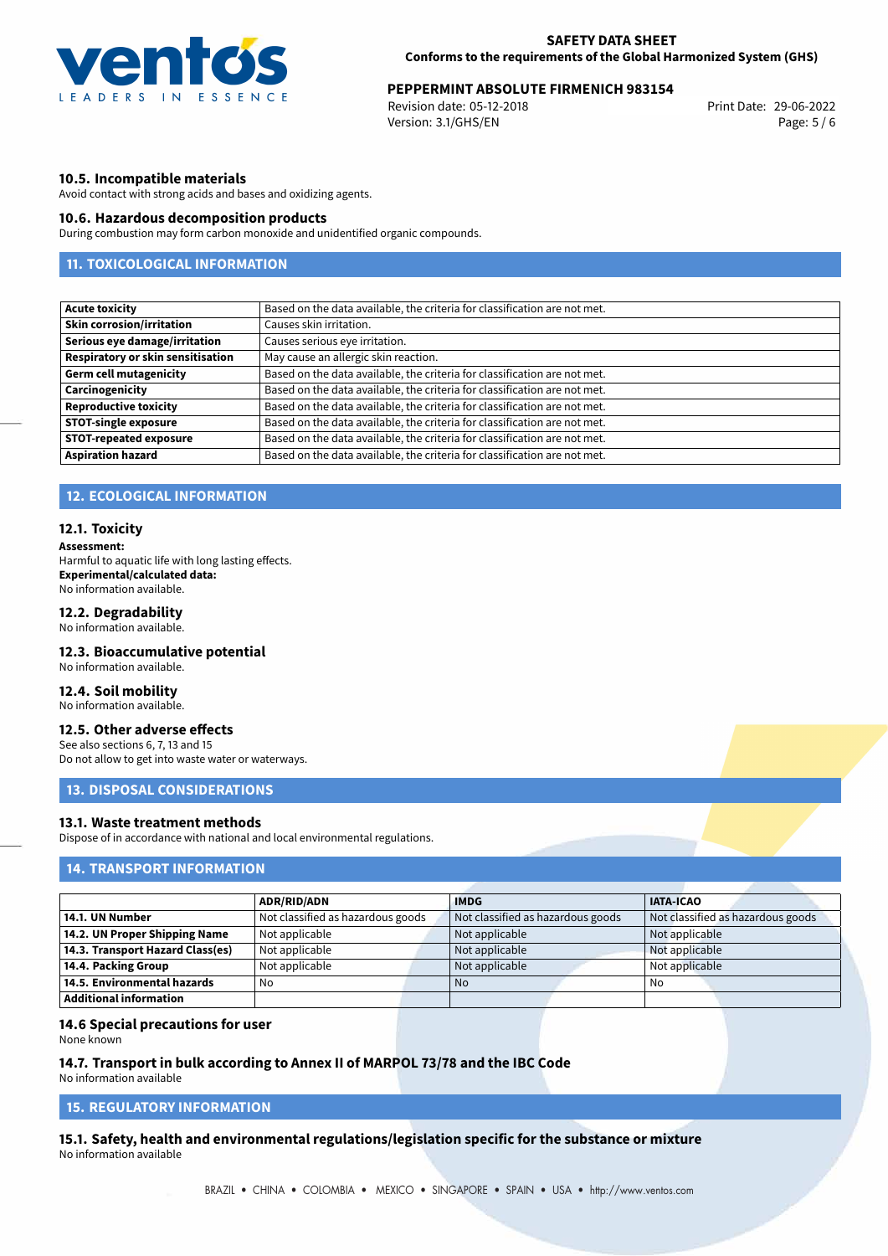

# **PEPPERMINT ABSOLUTE FIRMENICH 983154**<br>Revision date: 05-12-2018<br>Print Date: 29-06-2022

Revision date: 05-12-2018 Version: 3.1/GHS/EN Page: 5 / 6

### **10.5. Incompatible materials**

Avoid contact with strong acids and bases and oxidizing agents.

#### **10.6. Hazardous decomposition products**

During combustion may form carbon monoxide and unidentified organic compounds.

# **11. TOXICOLOGICAL INFORMATION**

| <b>Acute toxicity</b>             | Based on the data available, the criteria for classification are not met. |
|-----------------------------------|---------------------------------------------------------------------------|
| <b>Skin corrosion/irritation</b>  | Causes skin irritation.                                                   |
| Serious eye damage/irritation     | Causes serious eye irritation.                                            |
| Respiratory or skin sensitisation | May cause an allergic skin reaction.                                      |
| <b>Germ cell mutagenicity</b>     | Based on the data available, the criteria for classification are not met. |
| Carcinogenicity                   | Based on the data available, the criteria for classification are not met. |
| <b>Reproductive toxicity</b>      | Based on the data available, the criteria for classification are not met. |
| <b>STOT-single exposure</b>       | Based on the data available, the criteria for classification are not met. |
| <b>STOT-repeated exposure</b>     | Based on the data available, the criteria for classification are not met. |
| <b>Aspiration hazard</b>          | Based on the data available, the criteria for classification are not met. |

### **12. ECOLOGICAL INFORMATION**

#### **12.1. Toxicity**

**Assessment:**

Harmful to aquatic life with long lasting effects. **Experimental/calculated data:** No information available.

### **12.2. Degradability**

No information available.

## **12.3. Bioaccumulative potential**

No information available.

#### **12.4. Soil mobility**

No information available.

# **12.5. Other adverse effects**

See also sections 6, 7, 13 and 15 Do not allow to get into waste water or waterways.

### **13. DISPOSAL CONSIDERATIONS**

# **13.1. Waste treatment methods**

Dispose of in accordance with national and local environmental regulations.

## **14. TRANSPORT INFORMATION**

|                                    | <b>ADR/RID/ADN</b>                | <b>IMDG</b>                       | <b>IATA-ICAO</b>                  |
|------------------------------------|-----------------------------------|-----------------------------------|-----------------------------------|
| 14.1. UN Number                    | Not classified as hazardous goods | Not classified as hazardous goods | Not classified as hazardous goods |
| 14.2. UN Proper Shipping Name      | Not applicable                    | Not applicable                    | Not applicable                    |
| 14.3. Transport Hazard Class(es)   | Not applicable                    | Not applicable                    | Not applicable                    |
| 14.4. Packing Group                | Not applicable                    | Not applicable                    | Not applicable                    |
| $\mid$ 14.5. Environmental hazards | No                                | No.                               | No                                |
| Additional information             |                                   |                                   |                                   |

#### **14.6 Special precautions for user**

None known

# **14.7. Transport in bulk according to Annex II of MARPOL 73/78 and the IBC Code**

No information available

# **15. REGULATORY INFORMATION**

<span id="page-4-0"></span>**15.1. Safety, health and environmental regulations/legislation specific for the substance or mixture** No information available